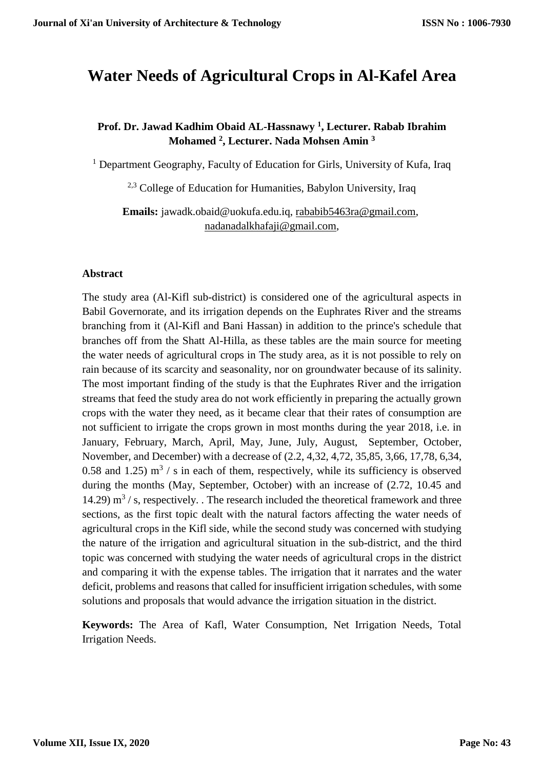# **Water Needs of Agricultural Crops in Al-Kafel Area**

# **Prof. Dr. Jawad Kadhim Obaid AL-Hassnawy <sup>1</sup> , Lecturer. Rabab Ibrahim Mohamed <sup>2</sup> , Lecturer. Nada Mohsen Amin <sup>3</sup>**

<sup>1</sup> Department Geography, Faculty of Education for Girls, University of Kufa, Iraq

2,3 College of Education for Humanities, Babylon University, Iraq

**Emails:** jawadk.obaid@uokufa.edu.iq, [rababib5463ra@gmail.com,](mailto:rababib5463ra@gmail.com) [nadanadalkhafaji@gmail.com,](mailto:nadanadalkhafaji@gmail.com)

#### **Abstract**

The study area (Al-Kifl sub-district) is considered one of the agricultural aspects in Babil Governorate, and its irrigation depends on the Euphrates River and the streams branching from it (Al-Kifl and Bani Hassan) in addition to the prince's schedule that branches off from the Shatt Al-Hilla, as these tables are the main source for meeting the water needs of agricultural crops in The study area, as it is not possible to rely on rain because of its scarcity and seasonality, nor on groundwater because of its salinity. The most important finding of the study is that the Euphrates River and the irrigation streams that feed the study area do not work efficiently in preparing the actually grown crops with the water they need, as it became clear that their rates of consumption are not sufficient to irrigate the crops grown in most months during the year 2018, i.e. in January, February, March, April, May, June, July, August, September, October, November, and December) with a decrease of (2.2, 4,32, 4,72, 35,85, 3,66, 17,78, 6,34, 0.58 and 1.25)  $\text{m}^3$  / s in each of them, respectively, while its sufficiency is observed during the months (May, September, October) with an increase of (2.72, 10.45 and 14.29)  $\text{m}^3$  / s, respectively. . The research included the theoretical framework and three sections, as the first topic dealt with the natural factors affecting the water needs of agricultural crops in the Kifl side, while the second study was concerned with studying the nature of the irrigation and agricultural situation in the sub-district, and the third topic was concerned with studying the water needs of agricultural crops in the district and comparing it with the expense tables. The irrigation that it narrates and the water deficit, problems and reasons that called for insufficient irrigation schedules, with some solutions and proposals that would advance the irrigation situation in the district.

**Keywords:** The Area of Kafl, Water Consumption, Net Irrigation Needs, Total Irrigation Needs.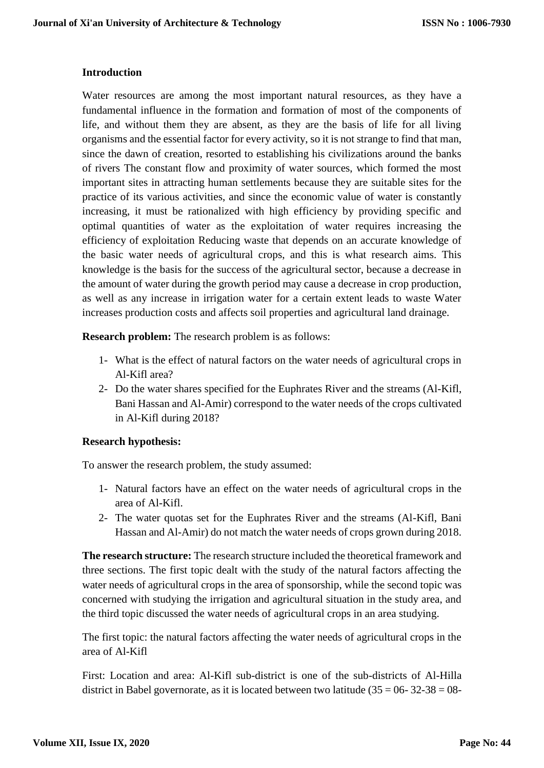#### **Introduction**

Water resources are among the most important natural resources, as they have a fundamental influence in the formation and formation of most of the components of life, and without them they are absent, as they are the basis of life for all living organisms and the essential factor for every activity, so it is not strange to find that man, since the dawn of creation, resorted to establishing his civilizations around the banks of rivers The constant flow and proximity of water sources, which formed the most important sites in attracting human settlements because they are suitable sites for the practice of its various activities, and since the economic value of water is constantly increasing, it must be rationalized with high efficiency by providing specific and optimal quantities of water as the exploitation of water requires increasing the efficiency of exploitation Reducing waste that depends on an accurate knowledge of the basic water needs of agricultural crops, and this is what research aims. This knowledge is the basis for the success of the agricultural sector, because a decrease in the amount of water during the growth period may cause a decrease in crop production, as well as any increase in irrigation water for a certain extent leads to waste Water increases production costs and affects soil properties and agricultural land drainage.

**Research problem:** The research problem is as follows:

- 1- What is the effect of natural factors on the water needs of agricultural crops in Al-Kifl area?
- 2- Do the water shares specified for the Euphrates River and the streams (Al-Kifl, Bani Hassan and Al-Amir) correspond to the water needs of the crops cultivated in Al-Kifl during 2018?

#### **Research hypothesis:**

To answer the research problem, the study assumed:

- 1- Natural factors have an effect on the water needs of agricultural crops in the area of Al-Kifl.
- 2- The water quotas set for the Euphrates River and the streams (Al-Kifl, Bani Hassan and Al-Amir) do not match the water needs of crops grown during 2018.

**The research structure:** The research structure included the theoretical framework and three sections. The first topic dealt with the study of the natural factors affecting the water needs of agricultural crops in the area of sponsorship, while the second topic was concerned with studying the irrigation and agricultural situation in the study area, and the third topic discussed the water needs of agricultural crops in an area studying.

The first topic: the natural factors affecting the water needs of agricultural crops in the area of Al-Kifl

First: Location and area: Al-Kifl sub-district is one of the sub-districts of Al-Hilla district in Babel governorate, as it is located between two latitude  $(35 = 06 - 32 - 38 = 08 - 12)$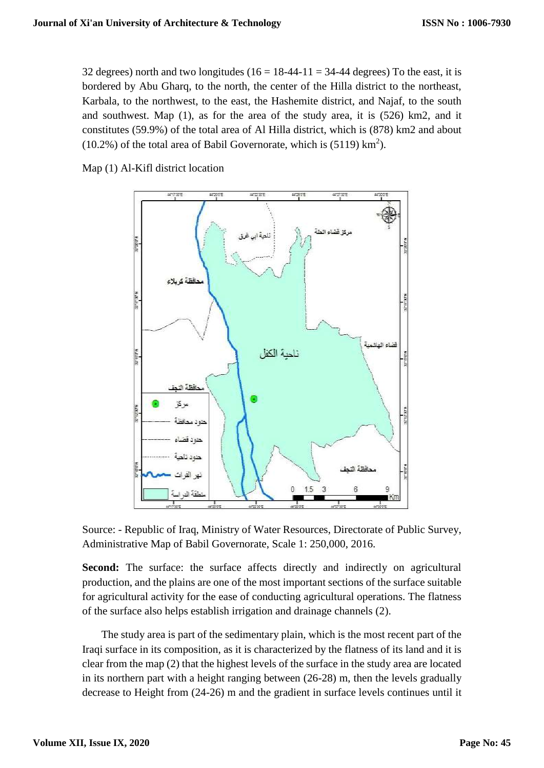32 degrees) north and two longitudes ( $16 = 18-44-11 = 34-44$  degrees) To the east, it is bordered by Abu Gharq, to the north, the center of the Hilla district to the northeast, Karbala, to the northwest, to the east, the Hashemite district, and Najaf, to the south and southwest. Map (1), as for the area of the study area, it is (526) km2, and it constitutes (59.9%) of the total area of Al Hilla district, which is (878) km2 and about  $(10.2%)$  of the total area of Babil Governorate, which is  $(5119)$  km<sup>2</sup>).

Map (1) Al-Kifl district location



Source: - Republic of Iraq, Ministry of Water Resources, Directorate of Public Survey, Administrative Map of Babil Governorate, Scale 1: 250,000, 2016.

**Second:** The surface: the surface affects directly and indirectly on agricultural production, and the plains are one of the most important sections of the surface suitable for agricultural activity for the ease of conducting agricultural operations. The flatness of the surface also helps establish irrigation and drainage channels (2).

 The study area is part of the sedimentary plain, which is the most recent part of the Iraqi surface in its composition, as it is characterized by the flatness of its land and it is clear from the map (2) that the highest levels of the surface in the study area are located in its northern part with a height ranging between (26-28) m, then the levels gradually decrease to Height from (24-26) m and the gradient in surface levels continues until it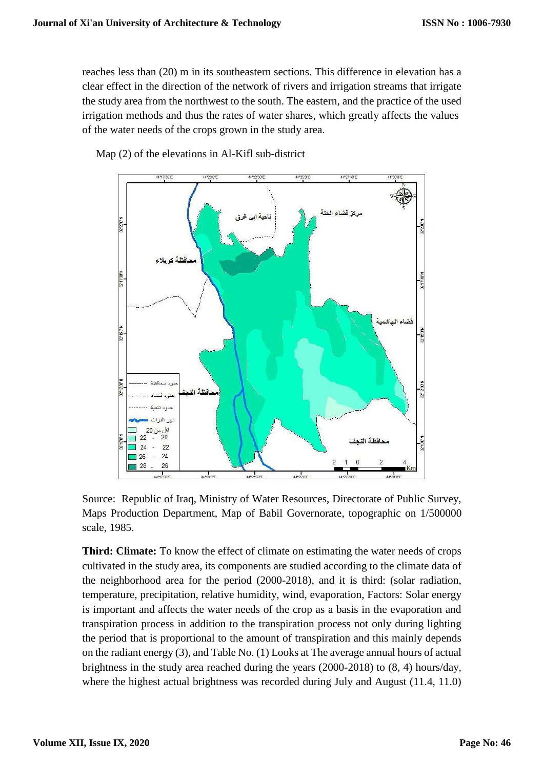reaches less than (20) m in its southeastern sections. This difference in elevation has a clear effect in the direction of the network of rivers and irrigation streams that irrigate the study area from the northwest to the south. The eastern, and the practice of the used irrigation methods and thus the rates of water shares, which greatly affects the values of the water needs of the crops grown in the study area.



Map (2) of the elevations in Al-Kifl sub-district

Source: Republic of Iraq, Ministry of Water Resources, Directorate of Public Survey, Maps Production Department, Map of Babil Governorate, topographic on 1/500000 scale, 1985.

**Third: Climate:** To know the effect of climate on estimating the water needs of crops cultivated in the study area, its components are studied according to the climate data of the neighborhood area for the period (2000-2018), and it is third: (solar radiation, temperature, precipitation, relative humidity, wind, evaporation, Factors: Solar energy is important and affects the water needs of the crop as a basis in the evaporation and transpiration process in addition to the transpiration process not only during lighting the period that is proportional to the amount of transpiration and this mainly depends on the radiant energy (3), and Table No. (1) Looks at The average annual hours of actual brightness in the study area reached during the years (2000-2018) to (8, 4) hours/day, where the highest actual brightness was recorded during July and August (11.4, 11.0)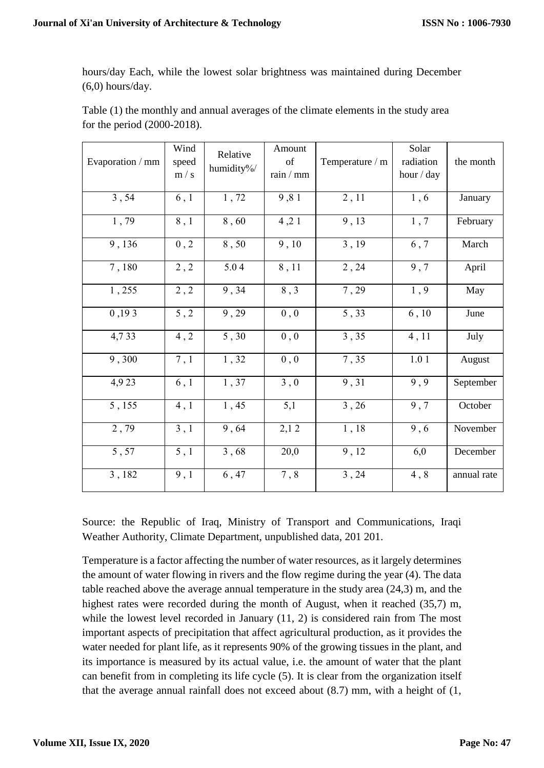hours/day Each, while the lowest solar brightness was maintained during December  $(6,0)$  hours/day.

| Table (1) the monthly and annual averages of the climate elements in the study area |  |
|-------------------------------------------------------------------------------------|--|
| for the period $(2000-2018)$ .                                                      |  |

| Evaporation / mm | Wind<br>speed<br>m/s | Relative<br>humidity%/ | Amount<br>of<br>rain / mm | Temperature / m | Solar<br>radiation<br>hour / day | the month   |
|------------------|----------------------|------------------------|---------------------------|-----------------|----------------------------------|-------------|
| 3, 54            | 6,1                  | 1,72                   | 9,81                      | 2, 11           | 1,6                              | January     |
| 1,79             | 8,1                  | 8,60                   | 4, 21                     | 9,13            | 1,7                              | February    |
| 9,136            | $0$ , $2\,$          | 8,50                   | 9,10                      | 3, 19           | $6,7$                            | March       |
| 7,180            | 2, 2                 | 5.04                   | 8,11                      | 2,24            | 9,7                              | April       |
| 1,255            | 2, 2                 | 9, 34                  | 8,3                       | 7, 29           | 1,9                              | May         |
| 0,193            | 5, 2                 | 9,29                   | 0, 0                      | 5,33            | 6, 10                            | June        |
| 4,733            | 4, 2                 | 5,30                   | 0, 0                      | 3,35            | 4,11                             | July        |
| 9,300            | 7,1                  | 1,32                   | $0$ , $0$                 | 7,35            | 1.01                             | August      |
| 4,923            | 6, 1                 | 1,37                   | 3,0                       | 9,31            | 9,9                              | September   |
| 5,155            | 4, 1                 | 1,45                   | 5,1                       | 3, 26           | 9,7                              | October     |
| 2,79             | 3, 1                 | 9,64                   | 2,12                      | 1,18            | 9,6                              | November    |
| 5,57             | 5,1                  | $3,68$                 | 20,0                      | 9,12            | 6,0                              | December    |
| 3,182            | 9,1                  | 6,47                   | $7\,,\,8$                 | 3,24            | 4,8                              | annual rate |

Source: the Republic of Iraq, Ministry of Transport and Communications, Iraqi Weather Authority, Climate Department, unpublished data, 201 201.

Temperature is a factor affecting the number of water resources, as it largely determines the amount of water flowing in rivers and the flow regime during the year (4). The data table reached above the average annual temperature in the study area (24,3) m, and the highest rates were recorded during the month of August, when it reached (35,7) m, while the lowest level recorded in January  $(11, 2)$  is considered rain from The most important aspects of precipitation that affect agricultural production, as it provides the water needed for plant life, as it represents 90% of the growing tissues in the plant, and its importance is measured by its actual value, i.e. the amount of water that the plant can benefit from in completing its life cycle (5). It is clear from the organization itself that the average annual rainfall does not exceed about (8.7) mm, with a height of (1,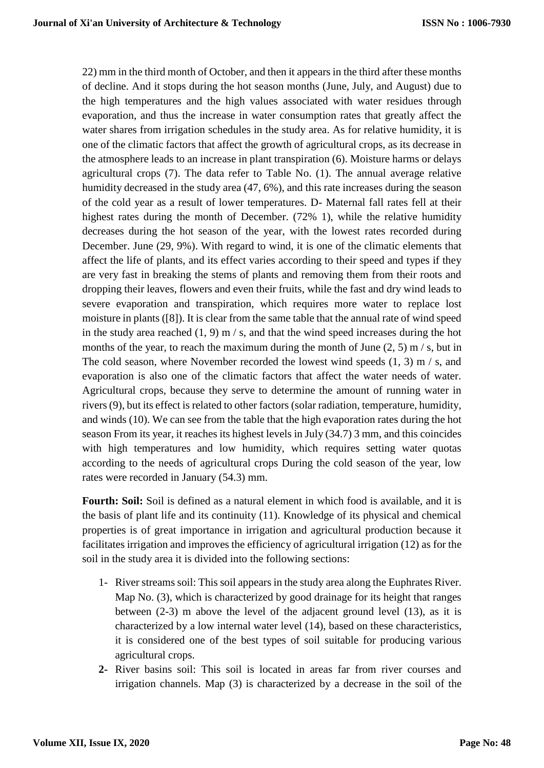22) mm in the third month of October, and then it appears in the third after these months of decline. And it stops during the hot season months (June, July, and August) due to the high temperatures and the high values associated with water residues through evaporation, and thus the increase in water consumption rates that greatly affect the water shares from irrigation schedules in the study area. As for relative humidity, it is one of the climatic factors that affect the growth of agricultural crops, as its decrease in the atmosphere leads to an increase in plant transpiration (6). Moisture harms or delays agricultural crops (7). The data refer to Table No. (1). The annual average relative humidity decreased in the study area (47, 6%), and this rate increases during the season of the cold year as a result of lower temperatures. D- Maternal fall rates fell at their highest rates during the month of December. (72% 1), while the relative humidity decreases during the hot season of the year, with the lowest rates recorded during December. June (29, 9%). With regard to wind, it is one of the climatic elements that affect the life of plants, and its effect varies according to their speed and types if they are very fast in breaking the stems of plants and removing them from their roots and dropping their leaves, flowers and even their fruits, while the fast and dry wind leads to severe evaporation and transpiration, which requires more water to replace lost moisture in plants ([8]). It is clear from the same table that the annual rate of wind speed in the study area reached  $(1, 9)$  m  $/ s$ , and that the wind speed increases during the hot months of the year, to reach the maximum during the month of June  $(2, 5)$  m/s, but in The cold season, where November recorded the lowest wind speeds (1, 3) m / s, and evaporation is also one of the climatic factors that affect the water needs of water. Agricultural crops, because they serve to determine the amount of running water in rivers (9), but its effect is related to other factors (solar radiation, temperature, humidity, and winds (10). We can see from the table that the high evaporation rates during the hot season From its year, it reaches its highest levels in July (34.7) 3 mm, and this coincides with high temperatures and low humidity, which requires setting water quotas according to the needs of agricultural crops During the cold season of the year, low rates were recorded in January (54.3) mm.

**Fourth: Soil:** Soil is defined as a natural element in which food is available, and it is the basis of plant life and its continuity (11). Knowledge of its physical and chemical properties is of great importance in irrigation and agricultural production because it facilitates irrigation and improves the efficiency of agricultural irrigation (12) as for the soil in the study area it is divided into the following sections:

- 1- River streams soil: This soil appears in the study area along the Euphrates River. Map No. (3), which is characterized by good drainage for its height that ranges between (2-3) m above the level of the adjacent ground level (13), as it is characterized by a low internal water level (14), based on these characteristics, it is considered one of the best types of soil suitable for producing various agricultural crops.
- **2-** River basins soil: This soil is located in areas far from river courses and irrigation channels. Map (3) is characterized by a decrease in the soil of the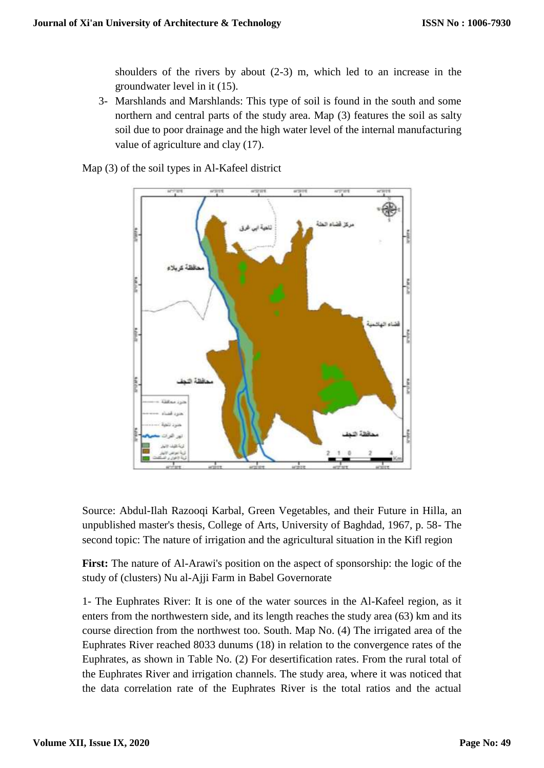shoulders of the rivers by about (2-3) m, which led to an increase in the groundwater level in it (15).

3- Marshlands and Marshlands: This type of soil is found in the south and some northern and central parts of the study area. Map (3) features the soil as salty soil due to poor drainage and the high water level of the internal manufacturing value of agriculture and clay (17).

Map (3) of the soil types in Al-Kafeel district



Source: Abdul-Ilah Razooqi Karbal, Green Vegetables, and their Future in Hilla, an unpublished master's thesis, College of Arts, University of Baghdad, 1967, p. 58- The second topic: The nature of irrigation and the agricultural situation in the Kifl region

**First:** The nature of Al-Arawi's position on the aspect of sponsorship: the logic of the study of (clusters) Nu al-Ajji Farm in Babel Governorate

1- The Euphrates River: It is one of the water sources in the Al-Kafeel region, as it enters from the northwestern side, and its length reaches the study area (63) km and its course direction from the northwest too. South. Map No. (4) The irrigated area of the Euphrates River reached 8033 dunums (18) in relation to the convergence rates of the Euphrates, as shown in Table No. (2) For desertification rates. From the rural total of the Euphrates River and irrigation channels. The study area, where it was noticed that the data correlation rate of the Euphrates River is the total ratios and the actual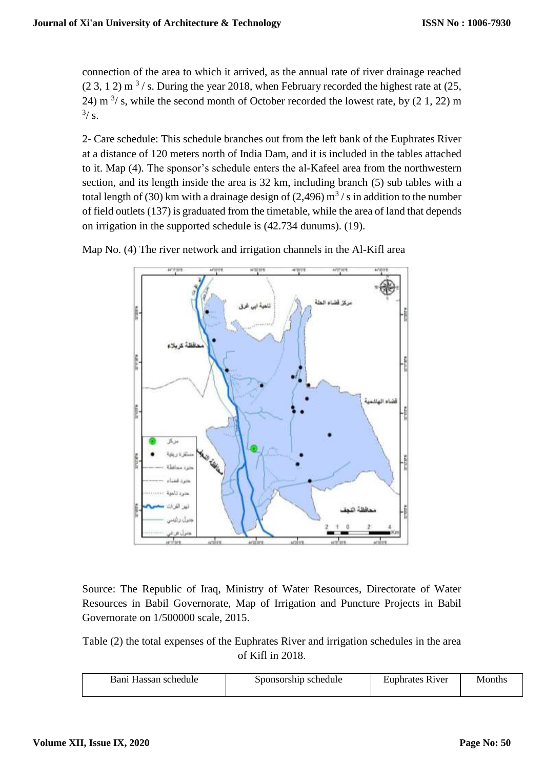connection of the area to which it arrived, as the annual rate of river drainage reached  $(2, 3, 1, 2)$  m<sup>3</sup>/s. During the year 2018, when February recorded the highest rate at  $(25, 1, 2)$ 24) m  $3/$  s, while the second month of October recorded the lowest rate, by  $(2\ 1, 22)$  m  $\frac{3}{s}$ .

2- Care schedule: This schedule branches out from the left bank of the Euphrates River at a distance of 120 meters north of India Dam, and it is included in the tables attached to it. Map (4). The sponsor's schedule enters the al-Kafeel area from the northwestern section, and its length inside the area is 32 km, including branch (5) sub tables with a total length of (30) km with a drainage design of (2,496)  $\text{m}^3$  / s in addition to the number of field outlets (137) is graduated from the timetable, while the area of land that depends on irrigation in the supported schedule is (42.734 dunums). (19).



Map No. (4) The river network and irrigation channels in the Al-Kifl area

Source: The Republic of Iraq, Ministry of Water Resources, Directorate of Water Resources in Babil Governorate, Map of Irrigation and Puncture Projects in Babil Governorate on 1/500000 scale, 2015.

Table (2) the total expenses of the Euphrates River and irrigation schedules in the area of Kifl in 2018.

| Bani Hassan schedule | Sponsorship schedule | <b>Euphrates River</b> | Months |
|----------------------|----------------------|------------------------|--------|
|                      |                      |                        |        |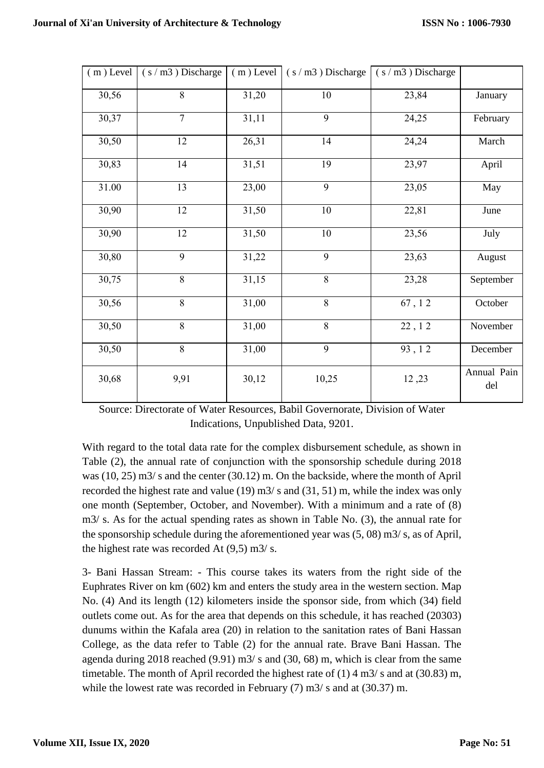|       | $(m)$ Level $(s/m3)$ Discharge |       | $(m)$ Level $(s/m3)$ Discharge | $(s/m3)$ Discharge |                    |
|-------|--------------------------------|-------|--------------------------------|--------------------|--------------------|
| 30,56 | 8                              | 31,20 | 10                             | 23,84              | January            |
| 30,37 | $\overline{7}$                 | 31,11 | 9                              | 24,25              | February           |
| 30,50 | 12                             | 26,31 | 14                             | 24,24              | March              |
| 30,83 | 14                             | 31,51 | 19                             | 23,97              | April              |
| 31.00 | 13                             | 23,00 | 9                              | 23,05              | May                |
| 30,90 | 12                             | 31,50 | $10\,$                         | 22,81              | June               |
| 30,90 | 12                             | 31,50 | $10\,$                         | 23,56              | July               |
| 30,80 | 9                              | 31,22 | 9                              | 23,63              | August             |
| 30,75 | 8                              | 31,15 | $8\,$                          | 23,28              | September          |
| 30,56 | 8                              | 31,00 | 8                              | 67, 12             | October            |
| 30,50 | $\overline{8}$                 | 31,00 | $\overline{8}$                 | 22, 12             | November           |
| 30,50 | 8                              | 31,00 | 9                              | 93, 12             | December           |
| 30,68 | 9,91                           | 30,12 | 10,25                          | 12,23              | Annual Pain<br>del |

Source: Directorate of Water Resources, Babil Governorate, Division of Water Indications, Unpublished Data, 9201.

With regard to the total data rate for the complex disbursement schedule, as shown in Table (2), the annual rate of conjunction with the sponsorship schedule during 2018 was (10, 25) m3/ s and the center (30.12) m. On the backside, where the month of April recorded the highest rate and value (19) m3/ s and (31, 51) m, while the index was only one month (September, October, and November). With a minimum and a rate of (8) m3/ s. As for the actual spending rates as shown in Table No. (3), the annual rate for the sponsorship schedule during the aforementioned year was (5, 08) m3/ s, as of April, the highest rate was recorded At  $(9,5)$  m $3/$  s.

3- Bani Hassan Stream: - This course takes its waters from the right side of the Euphrates River on km (602) km and enters the study area in the western section. Map No. (4) And its length (12) kilometers inside the sponsor side, from which (34) field outlets come out. As for the area that depends on this schedule, it has reached (20303) dunums within the Kafala area (20) in relation to the sanitation rates of Bani Hassan College, as the data refer to Table (2) for the annual rate. Brave Bani Hassan. The agenda during 2018 reached (9.91) m3/ s and (30, 68) m, which is clear from the same timetable. The month of April recorded the highest rate of (1) 4 m3/ s and at (30.83) m, while the lowest rate was recorded in February (7) m3/ s and at (30.37) m.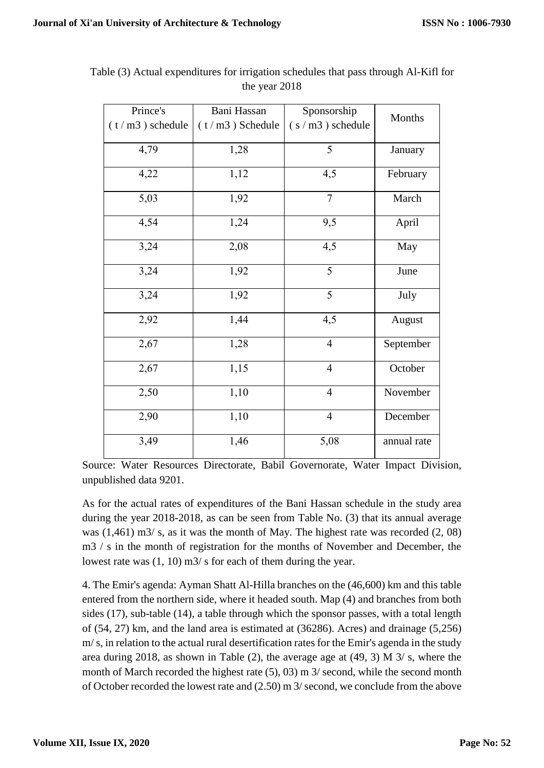| Prince's          | Bani Hassan       | Sponsorship       | Months      |
|-------------------|-------------------|-------------------|-------------|
| $(t/m3)$ schedule | $(t/m3)$ Schedule | $(s/m3)$ schedule |             |
| 4,79              | 1,28              | 5                 | January     |
| 4,22              | 1,12              | 4,5               | February    |
| 5,03              | 1,92              | $\overline{7}$    | March       |
| 4,54              | 1,24              | 9,5               | April       |
| 3,24              | 2,08              | 4,5               | May         |
| 3,24              | 1,92              | $\overline{5}$    | June        |
| 3,24              | 1,92              | 5                 | July        |
| 2,92              | 1,44              | 4,5               | August      |
| 2,67              | 1,28              | $\overline{4}$    | September   |
| 2,67              | 1,15              | $\overline{4}$    | October     |
| 2,50              | 1,10              | $\overline{4}$    | November    |
| 2,90              | 1,10              | $\overline{4}$    | December    |
| 3,49              | 1,46              | 5,08              | annual rate |

Table (3) Actual expenditures for irrigation schedules that pass through Al-Kifl for the year 2018

Source: Water Resources Directorate, Babil Governorate, Water Impact Division, unpublished data 9201.

As for the actual rates of expenditures of the Bani Hassan schedule in the study area during the year 2018-2018, as can be seen from Table No. (3) that its annual average was (1,461) m3/ s, as it was the month of May. The highest rate was recorded (2, 08) m3 / s in the month of registration for the months of November and December, the lowest rate was (1, 10) m3/ s for each of them during the year.

4. The Emir's agenda: Ayman Shatt Al-Hilla branches on the (46,600) km and this table entered from the northern side, where it headed south. Map (4) and branches from both sides (17), sub-table (14), a table through which the sponsor passes, with a total length of (54, 27) km, and the land area is estimated at (36286). Acres) and drainage (5,256) m/ s, in relation to the actual rural desertification rates for the Emir's agenda in the study area during 2018, as shown in Table (2), the average age at (49, 3) M 3/ s, where the month of March recorded the highest rate (5), 03) m 3/ second, while the second month of October recorded the lowest rate and (2.50) m 3/ second, we conclude from the above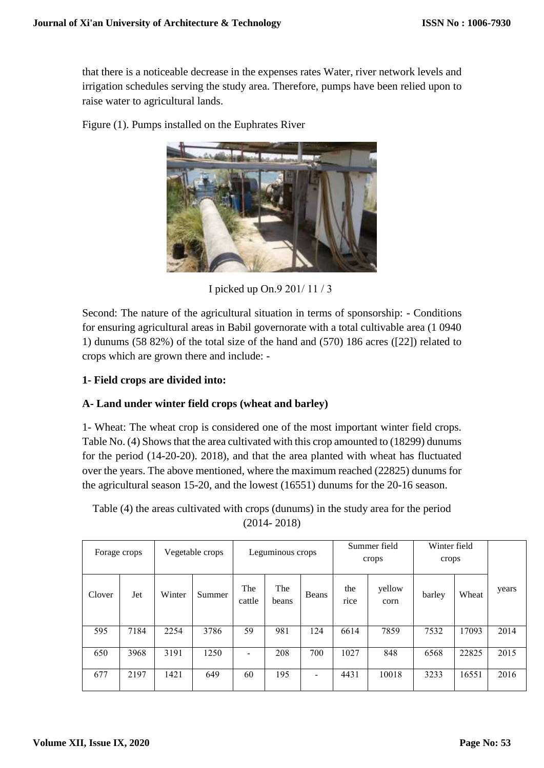that there is a noticeable decrease in the expenses rates Water, river network levels and irrigation schedules serving the study area. Therefore, pumps have been relied upon to raise water to agricultural lands.

Figure (1). Pumps installed on the Euphrates River

I picked up On.9 201/ 11 / 3

Second: The nature of the agricultural situation in terms of sponsorship: - Conditions for ensuring agricultural areas in Babil governorate with a total cultivable area (1 0940 1) dunums (58 82%) of the total size of the hand and (570) 186 acres ([22]) related to crops which are grown there and include: -

## **1- Field crops are divided into:**

## **A- Land under winter field crops (wheat and barley)**

1- Wheat: The wheat crop is considered one of the most important winter field crops. Table No. (4) Shows that the area cultivated with this crop amounted to (18299) dunums for the period (14-20-20). 2018), and that the area planted with wheat has fluctuated over the years. The above mentioned, where the maximum reached (22825) dunums for the agricultural season 15-20, and the lowest (16551) dunums for the 20-16 season.

Table (4) the areas cultivated with crops (dunums) in the study area for the period (2014- 2018)

| Forage crops |      | Vegetable crops |        | Winter field<br>Summer field<br>Leguminous crops<br>crops<br>crops |              |                |             |                |        |       |       |  |  |
|--------------|------|-----------------|--------|--------------------------------------------------------------------|--------------|----------------|-------------|----------------|--------|-------|-------|--|--|
| Clover       | Jet  | Winter          | Summer | The<br>cattle                                                      | The<br>beans | Beans          | the<br>rice | yellow<br>corn | barley | Wheat | years |  |  |
| 595          | 7184 | 2254            | 3786   | 59                                                                 | 981          | 124            | 6614        | 7859           | 7532   | 17093 | 2014  |  |  |
| 650          | 3968 | 3191            | 1250   | $\overline{\phantom{a}}$                                           | 208          | 700            | 1027        | 848            | 6568   | 22825 | 2015  |  |  |
| 677          | 2197 | 1421            | 649    | 60                                                                 | 195          | $\blacksquare$ | 4431        | 10018          | 3233   | 16551 | 2016  |  |  |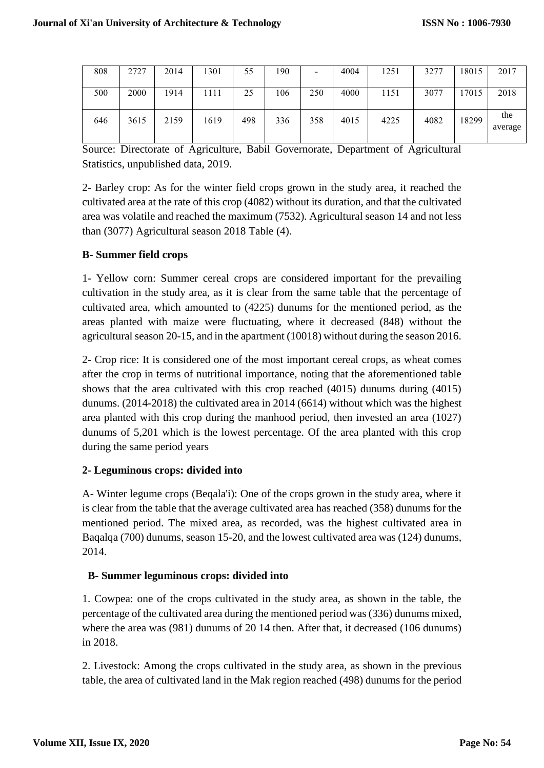| 808 | 2727 | 2014 | 1301 | 55  | 190 | $\,$ | 4004 | 1251 | 3277 | 18015 | 2017           |
|-----|------|------|------|-----|-----|------|------|------|------|-------|----------------|
| 500 | 2000 | 1914 | 1111 | 25  | 106 | 250  | 4000 | 1151 | 3077 | 17015 | 2018           |
| 646 | 3615 | 2159 | 1619 | 498 | 336 | 358  | 4015 | 4225 | 4082 | 18299 | the<br>average |

Source: Directorate of Agriculture, Babil Governorate, Department of Agricultural Statistics, unpublished data, 2019.

2- Barley crop: As for the winter field crops grown in the study area, it reached the cultivated area at the rate of this crop (4082) without its duration, and that the cultivated area was volatile and reached the maximum (7532). Agricultural season 14 and not less than (3077) Agricultural season 2018 Table (4).

## **B- Summer field crops**

1- Yellow corn: Summer cereal crops are considered important for the prevailing cultivation in the study area, as it is clear from the same table that the percentage of cultivated area, which amounted to (4225) dunums for the mentioned period, as the areas planted with maize were fluctuating, where it decreased (848) without the agricultural season 20-15, and in the apartment (10018) without during the season 2016.

2- Crop rice: It is considered one of the most important cereal crops, as wheat comes after the crop in terms of nutritional importance, noting that the aforementioned table shows that the area cultivated with this crop reached (4015) dunums during (4015) dunums. (2014-2018) the cultivated area in 2014 (6614) without which was the highest area planted with this crop during the manhood period, then invested an area (1027) dunums of 5,201 which is the lowest percentage. Of the area planted with this crop during the same period years

## **2- Leguminous crops: divided into**

A- Winter legume crops (Beqala'i): One of the crops grown in the study area, where it is clear from the table that the average cultivated area has reached (358) dunums for the mentioned period. The mixed area, as recorded, was the highest cultivated area in Baqalqa (700) dunums, season 15-20, and the lowest cultivated area was (124) dunums, 2014.

## **B- Summer leguminous crops: divided into**

1. Cowpea: one of the crops cultivated in the study area, as shown in the table, the percentage of the cultivated area during the mentioned period was (336) dunums mixed, where the area was (981) dunums of 20 14 then. After that, it decreased (106 dunums) in 2018.

2. Livestock: Among the crops cultivated in the study area, as shown in the previous table, the area of cultivated land in the Mak region reached (498) dunums for the period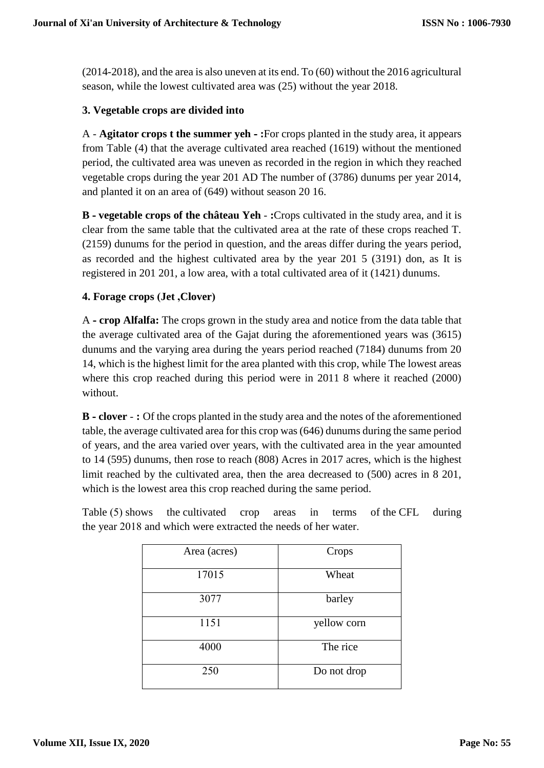(2014-2018), and the area is also uneven at its end. To (60) without the 2016 agricultural season, while the lowest cultivated area was (25) without the year 2018.

### **3. Vegetable crops are divided into**

A - **Agitator crops t the summer yeh - :**For crops planted in the study area, it appears from Table (4) that the average cultivated area reached (1619) without the mentioned period, the cultivated area was uneven as recorded in the region in which they reached vegetable crops during the year 201 AD The number of (3786) dunums per year 2014, and planted it on an area of (649) without season 20 16.

**B - vegetable crops of the château Yeh** - **:**Crops cultivated in the study area, and it is clear from the same table that the cultivated area at the rate of these crops reached T. (2159) dunums for the period in question, and the areas differ during the years period, as recorded and the highest cultivated area by the year 201 5 (3191) don, as It is registered in 201 201, a low area, with a total cultivated area of it (1421) dunums.

#### **4. Forage crops )Jet ,Clover(**

A **- crop Alfalfa:** The crops grown in the study area and notice from the data table that the average cultivated area of the Gajat during the aforementioned years was (3615) dunums and the varying area during the years period reached (7184) dunums from 20 14, which is the highest limit for the area planted with this crop, while The lowest areas where this crop reached during this period were in 2011 8 where it reached (2000) without.

**B - clover** - **:** Of the crops planted in the study area and the notes of the aforementioned table, the average cultivated area for this crop was (646) dunums during the same period of years, and the area varied over years, with the cultivated area in the year amounted to 14 (595) dunums, then rose to reach (808) Acres in 2017 acres, which is the highest limit reached by the cultivated area, then the area decreased to (500) acres in 8 201, which is the lowest area this crop reached during the same period.

| Table (5) shows the cultivated crop areas in terms of the CFL during |  |  |  |  |
|----------------------------------------------------------------------|--|--|--|--|
| the year 2018 and which were extracted the needs of her water.       |  |  |  |  |

| Area (acres) | Crops       |
|--------------|-------------|
| 17015        | Wheat       |
| 3077         | barley      |
| 1151         | yellow corn |
| 4000         | The rice    |
| 250          | Do not drop |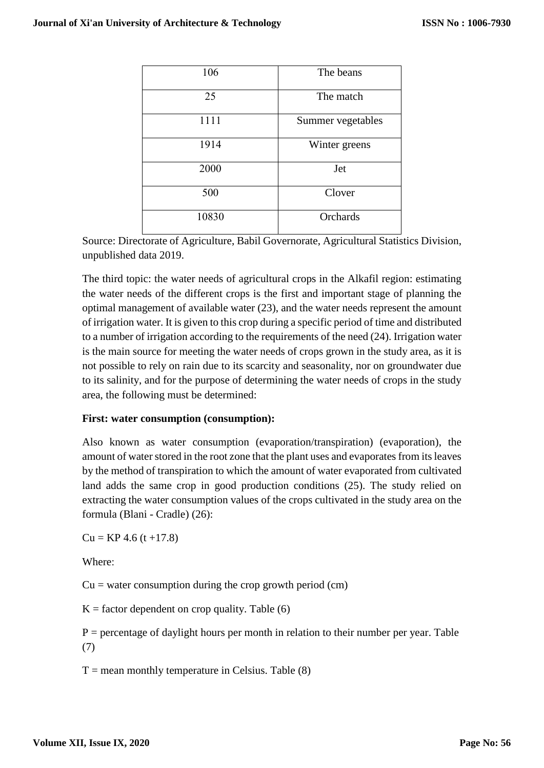| 106   | The beans         |
|-------|-------------------|
| 25    | The match         |
| 1111  | Summer vegetables |
| 1914  | Winter greens     |
| 2000  | Jet               |
| 500   | Clover            |
| 10830 | Orchards          |

Source: Directorate of Agriculture, Babil Governorate, Agricultural Statistics Division, unpublished data 2019.

The third topic: the water needs of agricultural crops in the Alkafil region: estimating the water needs of the different crops is the first and important stage of planning the optimal management of available water (23), and the water needs represent the amount of irrigation water. It is given to this crop during a specific period of time and distributed to a number of irrigation according to the requirements of the need (24). Irrigation water is the main source for meeting the water needs of crops grown in the study area, as it is not possible to rely on rain due to its scarcity and seasonality, nor on groundwater due to its salinity, and for the purpose of determining the water needs of crops in the study area, the following must be determined:

#### **First: water consumption (consumption):**

Also known as water consumption (evaporation/transpiration) (evaporation), the amount of water stored in the root zone that the plant uses and evaporates from its leaves by the method of transpiration to which the amount of water evaporated from cultivated land adds the same crop in good production conditions (25). The study relied on extracting the water consumption values of the crops cultivated in the study area on the formula (Blani - Cradle) (26):

 $Cu = KP 4.6$  (t +17.8)

Where:

 $Cu =$  water consumption during the crop growth period (cm)

 $K =$  factor dependent on crop quality. Table (6)

 $P =$  percentage of daylight hours per month in relation to their number per year. Table (7)

 $T$  = mean monthly temperature in Celsius. Table (8)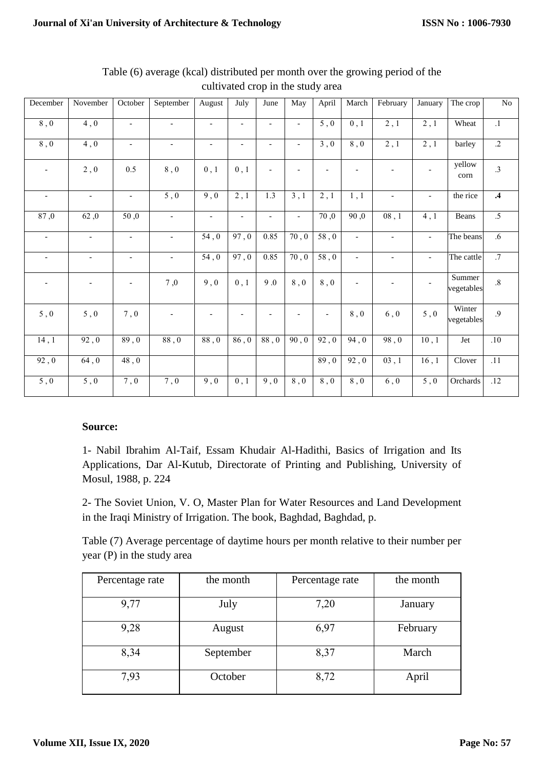| December                 | November                 | October                  | September                | August                   | July                     | June                     | May                      | April                    | March                    | February                 | January                  | The crop             | N <sub>0</sub>   |
|--------------------------|--------------------------|--------------------------|--------------------------|--------------------------|--------------------------|--------------------------|--------------------------|--------------------------|--------------------------|--------------------------|--------------------------|----------------------|------------------|
| 8,0                      | $\overline{4,0}$         | $\overline{\phantom{a}}$ | $\overline{\phantom{a}}$ | $\overline{\phantom{a}}$ | $\overline{\phantom{a}}$ | $\blacksquare$           | $\overline{a}$           | $\overline{5,0}$         | $0$ , $1$                | 2, 1                     | $\overline{2,1}$         | Wheat                | $\overline{.1}$  |
| 8,0                      | $\overline{4,0}$         | $\overline{\phantom{a}}$ | $\overline{\phantom{a}}$ | $\overline{\phantom{a}}$ | $\overline{\phantom{a}}$ | $\overline{a}$           | $\overline{\phantom{a}}$ | $\overline{3,0}$         | 8,0                      | $\overline{2,1}$         | 2,1                      | barley               | $\overline{.2}$  |
| $\overline{\phantom{a}}$ | 2,0                      | 0.5                      | 8,0                      | 0, 1                     | 0, 1                     | $\overline{\phantom{a}}$ | $\overline{\phantom{a}}$ | $\overline{\phantom{0}}$ | $\overline{a}$           |                          | $\overline{\phantom{a}}$ | yellow<br>corn       | $\cdot$ 3        |
| $\overline{\phantom{a}}$ | $\overline{\phantom{a}}$ | $\overline{\phantom{a}}$ | 5,0                      | 9,0                      | $\overline{2,1}$         | 1.3                      | $\overline{3,1}$         | $\overline{2,1}$         | 1,1                      | $\overline{\phantom{a}}$ | $\overline{\phantom{a}}$ | the rice             | $\overline{.4}$  |
| 87,0                     | 62,0                     | 50,0                     | $\overline{\phantom{a}}$ | $\overline{\phantom{a}}$ | $\blacksquare$           | $\blacksquare$           | $\overline{\phantom{a}}$ | 70,0                     | 90,0                     | 08, 1                    | 4, 1                     | Beans                | $\overline{.5}$  |
| $\overline{\phantom{a}}$ | $\overline{\phantom{a}}$ | $\overline{\phantom{a}}$ | $\overline{\phantom{a}}$ | 54,0                     | 97,0                     | 0.85                     | 70, 0                    | $58,0$                   | $\overline{\phantom{a}}$ | $\overline{\phantom{a}}$ | $\overline{\phantom{a}}$ | The beans            | $.6\,$           |
| $\overline{\phantom{a}}$ | $\overline{\phantom{a}}$ | $\overline{\phantom{a}}$ | $\overline{\phantom{a}}$ | 54,0                     | 97,0                     | 0.85                     | 70, 0                    | 58,0                     | $\overline{\phantom{a}}$ | $\overline{\phantom{a}}$ | $\overline{\phantom{a}}$ | The cattle           | $\overline{.7}$  |
| $\overline{\phantom{a}}$ |                          |                          | $7\ , 0$                 | 9,0                      | 0, 1                     | 9.0                      | $8,0$                    | $8$ , $0$                | $\overline{a}$           | $\overline{\phantom{a}}$ | $\overline{\phantom{a}}$ | Summer<br>vegetables | $.8\,$           |
| 5,0                      | $5,0$                    | 7,0                      | $\overline{\phantom{a}}$ | $\overline{\phantom{a}}$ |                          | $\overline{\phantom{a}}$ | $\overline{\phantom{a}}$ | $\overline{\phantom{a}}$ | $8$ , $0$                | $6,0$                    | $5,0$                    | Winter<br>vegetables | .9               |
| 14,1                     | 92,0                     | 89,0                     | 88,0                     | 88,0                     | 86,0                     | 88,0                     | 90, 0                    | 92,0                     | 94,0                     | 98,0                     | 10, 1                    | Jet                  | .10              |
| 92,0                     | 64,0                     | 48,0                     |                          |                          |                          |                          |                          | 89,0                     | 92,0                     | 03, 1                    | 16, 1                    | Clover               | $\overline{.11}$ |
| 5,0                      | $5$ , $0$                | 7,0                      | $7\,, 0$                 | 9,0                      | 0, 1                     | 9,0                      | $8$ , $0$                | $8$ , $0$                | $8\ ,\,0$                | $6,0$                    | $5\ ,0$                  | Orchards             | .12              |

Table (6) average (kcal) distributed per month over the growing period of the cultivated crop in the study area

#### **Source:**

1- Nabil Ibrahim Al-Taif, Essam Khudair Al-Hadithi, Basics of Irrigation and Its Applications, Dar Al-Kutub, Directorate of Printing and Publishing, University of Mosul, 1988, p. 224

2- The Soviet Union, V. O, Master Plan for Water Resources and Land Development in the Iraqi Ministry of Irrigation. The book, Baghdad, Baghdad, p.

Table (7) Average percentage of daytime hours per month relative to their number per year (P) in the study area

| Percentage rate | the month | Percentage rate | the month |
|-----------------|-----------|-----------------|-----------|
| 9,77            | July      | 7,20            | January   |
| 9,28            | August    | 6,97            | February  |
| 8,34            | September | 8,37            | March     |
| 7,93            | October   | 8,72            | April     |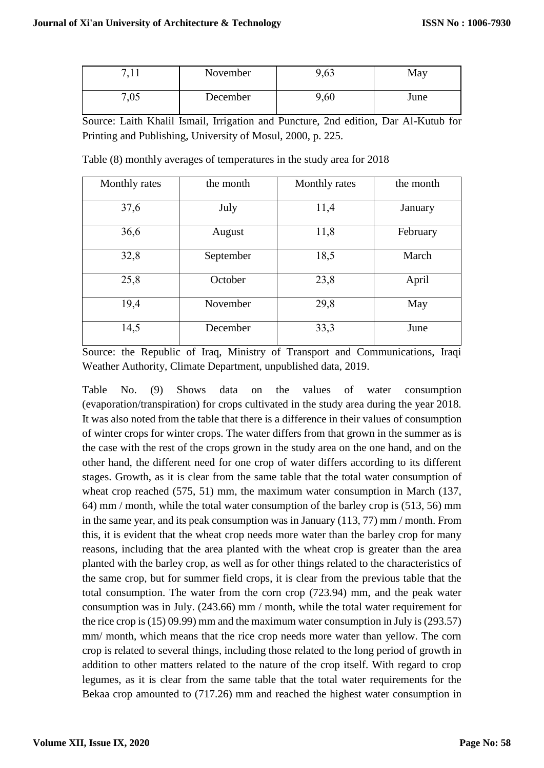| −    | November | ,63  | May  |
|------|----------|------|------|
| 7,05 | December | 9,60 | June |

Source: Laith Khalil Ismail, Irrigation and Puncture, 2nd edition, Dar Al-Kutub for Printing and Publishing, University of Mosul, 2000, p. 225.

| Monthly rates | the month         | Monthly rates | the month |  |
|---------------|-------------------|---------------|-----------|--|
| 37,6          | July              | 11,4          | January   |  |
| 36,6          | 11,8<br>August    |               | February  |  |
| 32,8          | 18,5<br>September |               | March     |  |
| 25,8          | October           | 23,8          | April     |  |
| 19,4          | November          | 29,8          | May       |  |
| 14,5          | 33,3<br>December  |               | June      |  |

Table (8) monthly averages of temperatures in the study area for 2018

Source: the Republic of Iraq, Ministry of Transport and Communications, Iraqi Weather Authority, Climate Department, unpublished data, 2019.

Table No. (9) Shows data on the values of water consumption (evaporation/transpiration) for crops cultivated in the study area during the year 2018. It was also noted from the table that there is a difference in their values of consumption of winter crops for winter crops. The water differs from that grown in the summer as is the case with the rest of the crops grown in the study area on the one hand, and on the other hand, the different need for one crop of water differs according to its different stages. Growth, as it is clear from the same table that the total water consumption of wheat crop reached (575, 51) mm, the maximum water consumption in March (137, 64) mm / month, while the total water consumption of the barley crop is (513, 56) mm in the same year, and its peak consumption was in January (113, 77) mm / month. From this, it is evident that the wheat crop needs more water than the barley crop for many reasons, including that the area planted with the wheat crop is greater than the area planted with the barley crop, as well as for other things related to the characteristics of the same crop, but for summer field crops, it is clear from the previous table that the total consumption. The water from the corn crop (723.94) mm, and the peak water consumption was in July. (243.66) mm / month, while the total water requirement for the rice crop is (15) 09.99) mm and the maximum water consumption in July is (293.57) mm/ month, which means that the rice crop needs more water than yellow. The corn crop is related to several things, including those related to the long period of growth in addition to other matters related to the nature of the crop itself. With regard to crop legumes, as it is clear from the same table that the total water requirements for the Bekaa crop amounted to (717.26) mm and reached the highest water consumption in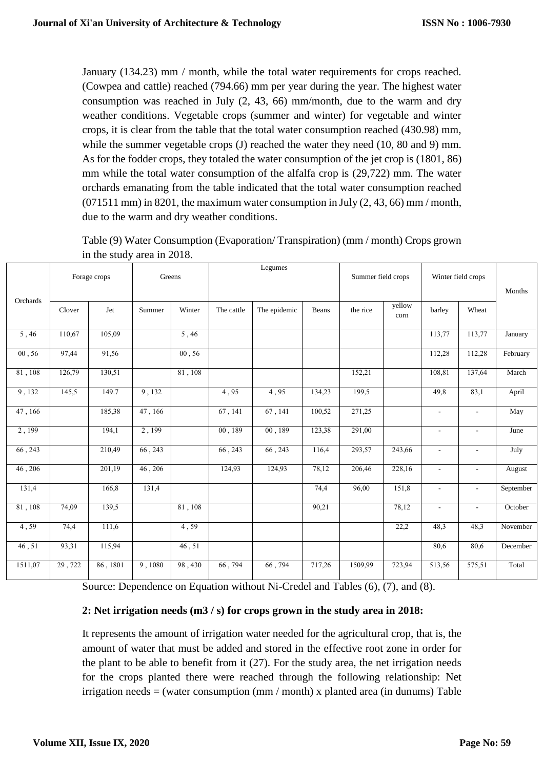January (134.23) mm / month, while the total water requirements for crops reached. (Cowpea and cattle) reached (794.66) mm per year during the year. The highest water consumption was reached in July (2, 43, 66) mm/month, due to the warm and dry weather conditions. Vegetable crops (summer and winter) for vegetable and winter crops, it is clear from the table that the total water consumption reached (430.98) mm, while the summer vegetable crops (J) reached the water they need (10, 80 and 9) mm. As for the fodder crops, they totaled the water consumption of the jet crop is (1801, 86) mm while the total water consumption of the alfalfa crop is (29,722) mm. The water orchards emanating from the table indicated that the total water consumption reached (071511 mm) in 8201, the maximum water consumption in July (2, 43, 66) mm / month, due to the warm and dry weather conditions.

|                |        | Forage crops | Greens  |         |            | Legumes      |        | Summer field crops |                |                          | Winter field crops       |           |
|----------------|--------|--------------|---------|---------|------------|--------------|--------|--------------------|----------------|--------------------------|--------------------------|-----------|
| Orchards       |        |              |         |         |            |              |        |                    |                |                          |                          | Months    |
|                | Clover | Jet          | Summer  | Winter  | The cattle | The epidemic | Beans  | the rice           | yellow<br>corn | barley                   | Wheat                    |           |
| 5,46           | 110,67 | 105,09       |         | 5,46    |            |              |        |                    |                | 113,77                   | 113,77                   | January   |
| 00, 56         | 97,44  | 91,56        |         | 00, 56  |            |              |        |                    |                | 112,28                   | 112,28                   | February  |
| 81,108         | 126,79 | 130,51       |         | 81, 108 |            |              |        | 152,21             |                | 108,81                   | 137,64                   | March     |
| 9,132          | 145,5  | 149.7        | 9,132   |         | 4,95       | 4,95         | 134,23 | 199,5              |                | 49,8                     | 83,1                     | April     |
| 47,166         |        | 185,38       | 47,166  |         | 67, 141    | 67, 141      | 100,52 | 271,25             |                | $\overline{\phantom{a}}$ | $\blacksquare$           | May       |
| 2,199          |        | 194,1        | 2,199   |         | 00,189     | 00, 189      | 123,38 | 291,00             |                | $\overline{\phantom{a}}$ | $\blacksquare$           | June      |
| 66, 243        |        | 210,49       | 66, 243 |         | 66, 243    | 66, 243      | 116,4  | 293,57             | 243,66         | $\overline{\phantom{a}}$ | $\blacksquare$           | July      |
| 46,206         |        | 201,19       | 46,206  |         | 124,93     | 124,93       | 78,12  | 206,46             | 228,16         | $\sim$                   | $\overline{\phantom{a}}$ | August    |
| 131,4          |        | 166,8        | 131,4   |         |            |              | 74,4   | 96,00              | 151,8          | $\blacksquare$           | $\blacksquare$           | September |
| $81$ , $108\,$ | 74,09  | 139,5        |         | 81, 108 |            |              | 90,21  |                    | 78,12          | $\overline{\phantom{a}}$ | $\overline{\phantom{a}}$ | October   |
| 4,59           | 74,4   | 111,6        |         | 4,59    |            |              |        |                    | 22,2           | 48,3                     | 48,3                     | November  |
| 46, 51         | 93,31  | 115,94       |         | 46,51   |            |              |        |                    |                | 80,6                     | 80,6                     | December  |
| 1511,07        | 29,722 | 86, 1801     | 9,1080  | 98,430  | 66, 794    | 66,794       | 717,26 | 1509,99            | 723,94         | 513,56                   | 575,51                   | Total     |

Table (9) Water Consumption (Evaporation/ Transpiration) (mm / month) Crops grown in the study area in 2018.

Source: Dependence on Equation without Ni-Credel and Tables (6), (7), and (8).

#### **2: Net irrigation needs (m3 / s) for crops grown in the study area in 2018:**

It represents the amount of irrigation water needed for the agricultural crop, that is, the amount of water that must be added and stored in the effective root zone in order for the plant to be able to benefit from it (27). For the study area, the net irrigation needs for the crops planted there were reached through the following relationship: Net irrigation needs = (water consumption (mm / month) x planted area (in dunums) Table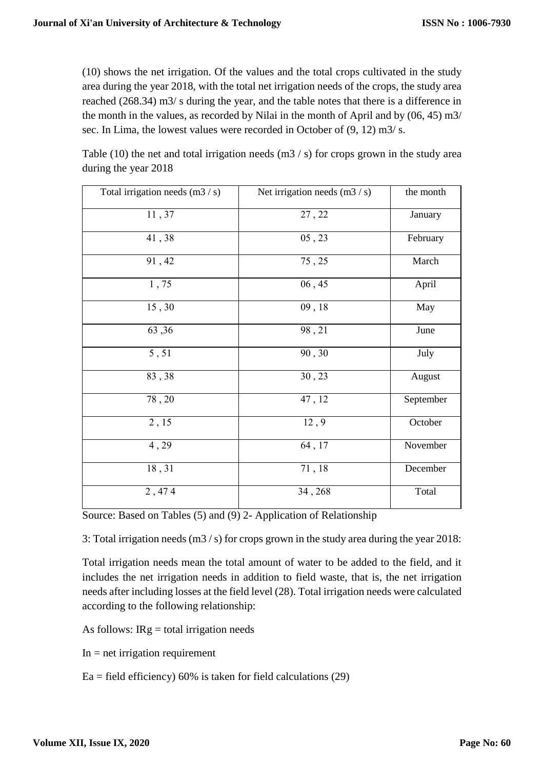(10) shows the net irrigation. Of the values and the total crops cultivated in the study area during the year 2018, with the total net irrigation needs of the crops, the study area reached (268.34) m3/ s during the year, and the table notes that there is a difference in the month in the values, as recorded by Nilai in the month of April and by (06, 45) m3/ sec. In Lima, the lowest values were recorded in October of  $(9, 12)$  m $3/$  s.

Table (10) the net and total irrigation needs  $(m3 / s)$  for crops grown in the study area during the year 2018

| Total irrigation needs (m3 / s) | Net irrigation needs $(m3 / s)$ | the month |
|---------------------------------|---------------------------------|-----------|
| 11,37                           | 27, 22                          | January   |
| 41,38                           | 05, 23                          | February  |
| 91,42                           | 75, 25                          | March     |
| 1,75                            | 06, 45                          | April     |
| 15,30                           | 09, 18                          | May       |
| 63,36                           | 98,21                           | June      |
| 5,51                            | 90,30                           | July      |
| 83,38                           | 30, 23                          | August    |
| 78,20                           | 47, 12                          | September |
| $\overline{2,15}$               | 12, 9                           | October   |
| 4,29                            | 64, 17                          | November  |
| 18,31                           | 71, 18                          | December  |
| 2,474                           | 34, 268                         | Total     |

Source: Based on Tables (5) and (9) 2- Application of Relationship

3: Total irrigation needs (m3 / s) for crops grown in the study area during the year 2018:

Total irrigation needs mean the total amount of water to be added to the field, and it includes the net irrigation needs in addition to field waste, that is, the net irrigation needs after including losses at the field level (28). Total irrigation needs were calculated according to the following relationship:

As follows:  $IRg = total$  irrigation needs

 $In = net irrigation requirement$ 

 $Ea =$  field efficiency) 60% is taken for field calculations (29)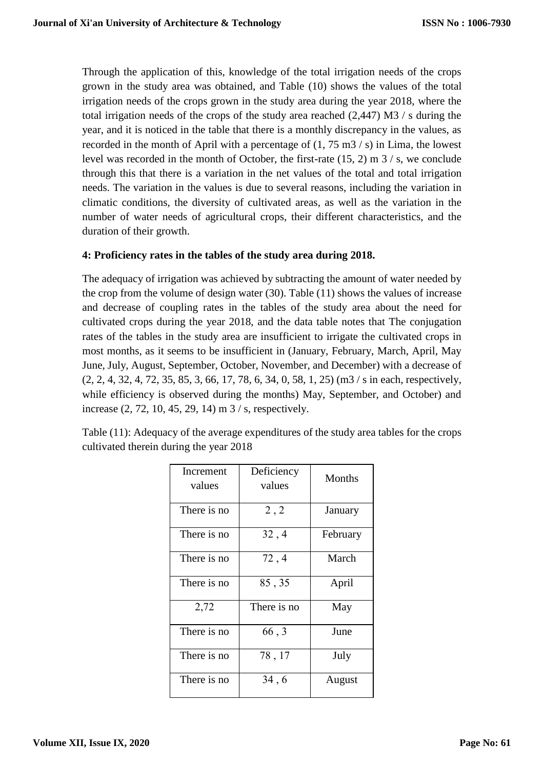Through the application of this, knowledge of the total irrigation needs of the crops grown in the study area was obtained, and Table (10) shows the values of the total irrigation needs of the crops grown in the study area during the year 2018, where the total irrigation needs of the crops of the study area reached (2,447) M3 / s during the year, and it is noticed in the table that there is a monthly discrepancy in the values, as recorded in the month of April with a percentage of (1, 75 m3 / s) in Lima, the lowest level was recorded in the month of October, the first-rate (15, 2) m 3 / s, we conclude through this that there is a variation in the net values of the total and total irrigation needs. The variation in the values is due to several reasons, including the variation in climatic conditions, the diversity of cultivated areas, as well as the variation in the number of water needs of agricultural crops, their different characteristics, and the duration of their growth.

#### **4: Proficiency rates in the tables of the study area during 2018.**

The adequacy of irrigation was achieved by subtracting the amount of water needed by the crop from the volume of design water (30). Table (11) shows the values of increase and decrease of coupling rates in the tables of the study area about the need for cultivated crops during the year 2018, and the data table notes that The conjugation rates of the tables in the study area are insufficient to irrigate the cultivated crops in most months, as it seems to be insufficient in (January, February, March, April, May June, July, August, September, October, November, and December) with a decrease of (2, 2, 4, 32, 4, 72, 35, 85, 3, 66, 17, 78, 6, 34, 0, 58, 1, 25) (m3 / s in each, respectively, while efficiency is observed during the months) May, September, and October) and increase (2, 72, 10, 45, 29, 14) m 3 / s, respectively.

Table (11): Adequacy of the average expenditures of the study area tables for the crops cultivated therein during the year 2018

| Increment<br>values | Deficiency<br>values | Months   |
|---------------------|----------------------|----------|
| There is no         | 2,2                  | January  |
| There is no         | 32, 4                | February |
| There is no         | 72, 4                | March    |
| There is no         | 85, 35               | April    |
| 2,72                | There is no          | May      |
| There is no         | 66, 3                | June     |
| There is no         | 78, 17               | July     |
| There is no         | 34, 6                | August   |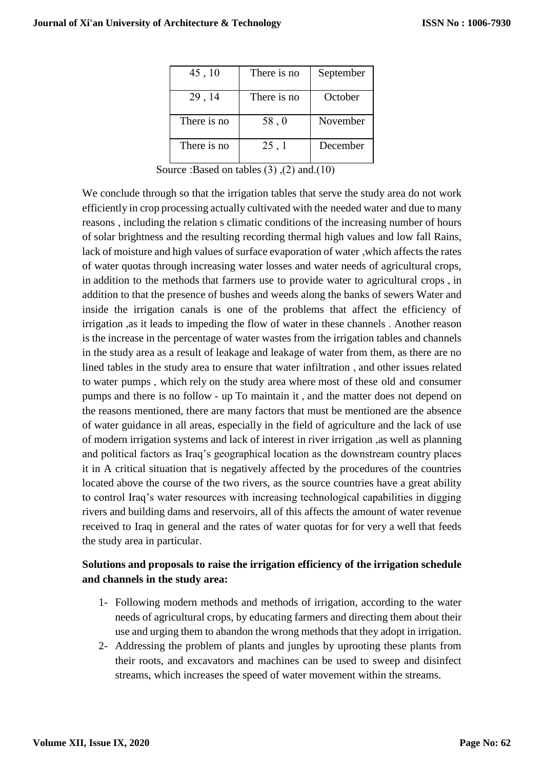| 45, 10      | There is no | September |
|-------------|-------------|-----------|
| 29, 14      | There is no | October   |
| There is no | 58,0        | November  |
| There is no | 25, 1       | December  |

Source :Based on tables  $(3)$ ,  $(2)$  and. $(10)$ 

We conclude through so that the irrigation tables that serve the study area do not work efficiently in crop processing actually cultivated with the needed water and due to many reasons , including the relation s climatic conditions of the increasing number of hours of solar brightness and the resulting recording thermal high values and low fall Rains, lack of moisture and high values of surface evaporation of water ,which affects the rates of water quotas through increasing water losses and water needs of agricultural crops, in addition to the methods that farmers use to provide water to agricultural crops , in addition to that the presence of bushes and weeds along the banks of sewers Water and inside the irrigation canals is one of the problems that affect the efficiency of irrigation ,as it leads to impeding the flow of water in these channels . Another reason is the increase in the percentage of water wastes from the irrigation tables and channels in the study area as a result of leakage and leakage of water from them, as there are no lined tables in the study area to ensure that water infiltration , and other issues related to water pumps , which rely on the study area where most of these old and consumer pumps and there is no follow - up To maintain it , and the matter does not depend on the reasons mentioned, there are many factors that must be mentioned are the absence of water guidance in all areas, especially in the field of agriculture and the lack of use of modern irrigation systems and lack of interest in river irrigation ,as well as planning and political factors as Iraq's geographical location as the downstream country places it in A critical situation that is negatively affected by the procedures of the countries located above the course of the two rivers, as the source countries have a great ability to control Iraq's water resources with increasing technological capabilities in digging rivers and building dams and reservoirs, all of this affects the amount of water revenue received to Iraq in general and the rates of water quotas for for very a well that feeds the study area in particular.

## **Solutions and proposals to raise the irrigation efficiency of the irrigation schedule and channels in the study area:**

- 1- Following modern methods and methods of irrigation, according to the water needs of agricultural crops, by educating farmers and directing them about their use and urging them to abandon the wrong methods that they adopt in irrigation.
- 2- Addressing the problem of plants and jungles by uprooting these plants from their roots, and excavators and machines can be used to sweep and disinfect streams, which increases the speed of water movement within the streams.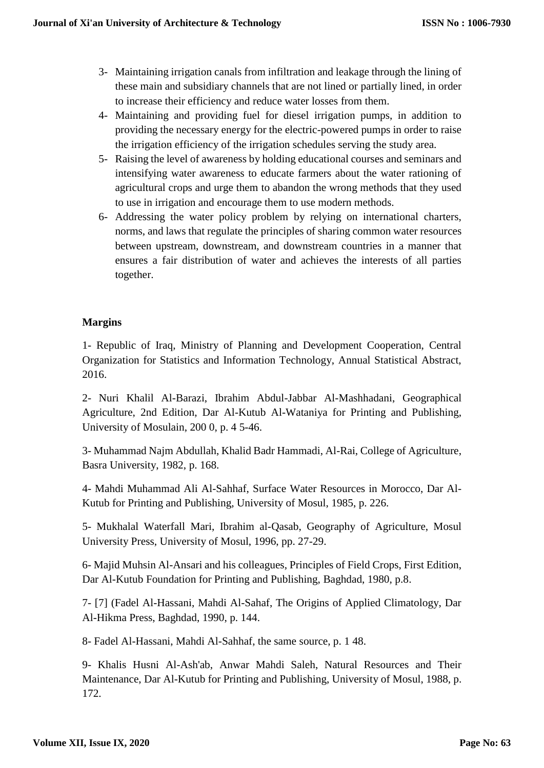- 3- Maintaining irrigation canals from infiltration and leakage through the lining of these main and subsidiary channels that are not lined or partially lined, in order to increase their efficiency and reduce water losses from them.
- 4- Maintaining and providing fuel for diesel irrigation pumps, in addition to providing the necessary energy for the electric-powered pumps in order to raise the irrigation efficiency of the irrigation schedules serving the study area.
- 5- Raising the level of awareness by holding educational courses and seminars and intensifying water awareness to educate farmers about the water rationing of agricultural crops and urge them to abandon the wrong methods that they used to use in irrigation and encourage them to use modern methods.
- 6- Addressing the water policy problem by relying on international charters, norms, and laws that regulate the principles of sharing common water resources between upstream, downstream, and downstream countries in a manner that ensures a fair distribution of water and achieves the interests of all parties together.

## **Margins**

1- Republic of Iraq, Ministry of Planning and Development Cooperation, Central Organization for Statistics and Information Technology, Annual Statistical Abstract, 2016.

2- Nuri Khalil Al-Barazi, Ibrahim Abdul-Jabbar Al-Mashhadani, Geographical Agriculture, 2nd Edition, Dar Al-Kutub Al-Wataniya for Printing and Publishing, University of Mosulain, 200 0, p. 4 5-46.

3- Muhammad Najm Abdullah, Khalid Badr Hammadi, Al-Rai, College of Agriculture, Basra University, 1982, p. 168.

4- Mahdi Muhammad Ali Al-Sahhaf, Surface Water Resources in Morocco, Dar Al-Kutub for Printing and Publishing, University of Mosul, 1985, p. 226.

5- Mukhalal Waterfall Mari, Ibrahim al-Qasab, Geography of Agriculture, Mosul University Press, University of Mosul, 1996, pp. 27-29.

6- Majid Muhsin Al-Ansari and his colleagues, Principles of Field Crops, First Edition, Dar Al-Kutub Foundation for Printing and Publishing, Baghdad, 1980, p.8.

7- [7] (Fadel Al-Hassani, Mahdi Al-Sahaf, The Origins of Applied Climatology, Dar Al-Hikma Press, Baghdad, 1990, p. 144.

8- Fadel Al-Hassani, Mahdi Al-Sahhaf, the same source, p. 1 48.

9- Khalis Husni Al-Ash'ab, Anwar Mahdi Saleh, Natural Resources and Their Maintenance, Dar Al-Kutub for Printing and Publishing, University of Mosul, 1988, p. 172.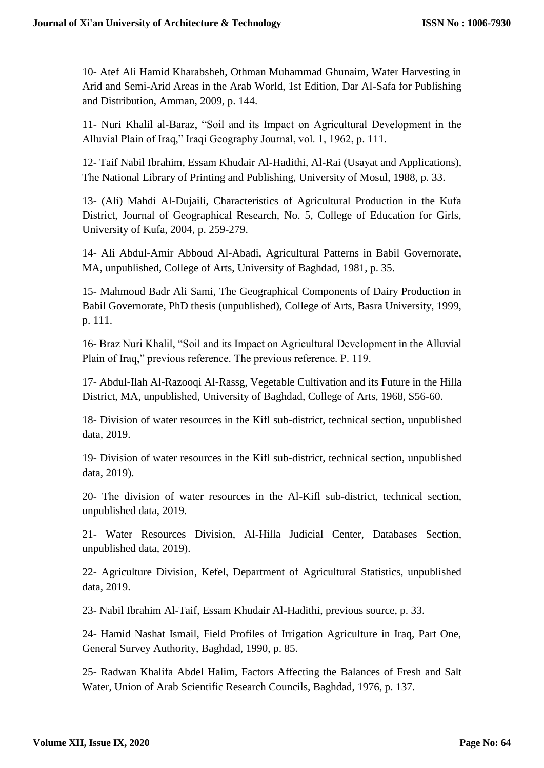10- Atef Ali Hamid Kharabsheh, Othman Muhammad Ghunaim, Water Harvesting in Arid and Semi-Arid Areas in the Arab World, 1st Edition, Dar Al-Safa for Publishing and Distribution, Amman, 2009, p. 144.

11- Nuri Khalil al-Baraz, "Soil and its Impact on Agricultural Development in the Alluvial Plain of Iraq," Iraqi Geography Journal, vol. 1, 1962, p. 111.

12- Taif Nabil Ibrahim, Essam Khudair Al-Hadithi, Al-Rai (Usayat and Applications), The National Library of Printing and Publishing, University of Mosul, 1988, p. 33.

13- (Ali) Mahdi Al-Dujaili, Characteristics of Agricultural Production in the Kufa District, Journal of Geographical Research, No. 5, College of Education for Girls, University of Kufa, 2004, p. 259-279.

14- Ali Abdul-Amir Abboud Al-Abadi, Agricultural Patterns in Babil Governorate, MA, unpublished, College of Arts, University of Baghdad, 1981, p. 35.

15- Mahmoud Badr Ali Sami, The Geographical Components of Dairy Production in Babil Governorate, PhD thesis (unpublished), College of Arts, Basra University, 1999, p. 111.

16- Braz Nuri Khalil, "Soil and its Impact on Agricultural Development in the Alluvial Plain of Iraq," previous reference. The previous reference. P. 119.

17- Abdul-Ilah Al-Razooqi Al-Rassg, Vegetable Cultivation and its Future in the Hilla District, MA, unpublished, University of Baghdad, College of Arts, 1968, S56-60.

18- Division of water resources in the Kifl sub-district, technical section, unpublished data, 2019.

19- Division of water resources in the Kifl sub-district, technical section, unpublished data, 2019).

20- The division of water resources in the Al-Kifl sub-district, technical section, unpublished data, 2019.

21- Water Resources Division, Al-Hilla Judicial Center, Databases Section, unpublished data, 2019).

22- Agriculture Division, Kefel, Department of Agricultural Statistics, unpublished data, 2019.

23- Nabil Ibrahim Al-Taif, Essam Khudair Al-Hadithi, previous source, p. 33.

24- Hamid Nashat Ismail, Field Profiles of Irrigation Agriculture in Iraq, Part One, General Survey Authority, Baghdad, 1990, p. 85.

25- Radwan Khalifa Abdel Halim, Factors Affecting the Balances of Fresh and Salt Water, Union of Arab Scientific Research Councils, Baghdad, 1976, p. 137.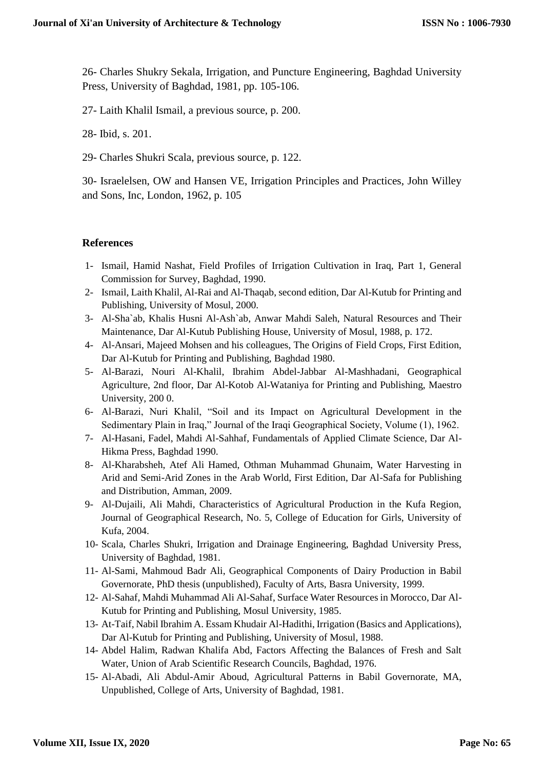26- Charles Shukry Sekala, Irrigation, and Puncture Engineering, Baghdad University Press, University of Baghdad, 1981, pp. 105-106.

27- Laith Khalil Ismail, a previous source, p. 200.

28- Ibid, s. 201.

29- Charles Shukri Scala, previous source, p. 122.

30- Israelelsen, OW and Hansen VE, Irrigation Principles and Practices, John Willey and Sons, Inc, London, 1962, p. 105

#### **References**

- 1- Ismail, Hamid Nashat, Field Profiles of Irrigation Cultivation in Iraq, Part 1, General Commission for Survey, Baghdad, 1990.
- 2- Ismail, Laith Khalil, Al-Rai and Al-Thaqab, second edition, Dar Al-Kutub for Printing and Publishing, University of Mosul, 2000.
- 3- Al-Sha`ab, Khalis Husni Al-Ash`ab, Anwar Mahdi Saleh, Natural Resources and Their Maintenance, Dar Al-Kutub Publishing House, University of Mosul, 1988, p. 172.
- 4- Al-Ansari, Majeed Mohsen and his colleagues, The Origins of Field Crops, First Edition, Dar Al-Kutub for Printing and Publishing, Baghdad 1980.
- 5- Al-Barazi, Nouri Al-Khalil, Ibrahim Abdel-Jabbar Al-Mashhadani, Geographical Agriculture, 2nd floor, Dar Al-Kotob Al-Wataniya for Printing and Publishing, Maestro University, 200 0.
- 6- Al-Barazi, Nuri Khalil, "Soil and its Impact on Agricultural Development in the Sedimentary Plain in Iraq," Journal of the Iraqi Geographical Society, Volume (1), 1962.
- 7- Al-Hasani, Fadel, Mahdi Al-Sahhaf, Fundamentals of Applied Climate Science, Dar Al-Hikma Press, Baghdad 1990.
- 8- Al-Kharabsheh, Atef Ali Hamed, Othman Muhammad Ghunaim, Water Harvesting in Arid and Semi-Arid Zones in the Arab World, First Edition, Dar Al-Safa for Publishing and Distribution, Amman, 2009.
- 9- Al-Dujaili, Ali Mahdi, Characteristics of Agricultural Production in the Kufa Region, Journal of Geographical Research, No. 5, College of Education for Girls, University of Kufa, 2004.
- 10- Scala, Charles Shukri, Irrigation and Drainage Engineering, Baghdad University Press, University of Baghdad, 1981.
- 11- Al-Sami, Mahmoud Badr Ali, Geographical Components of Dairy Production in Babil Governorate, PhD thesis (unpublished), Faculty of Arts, Basra University, 1999.
- 12- Al-Sahaf, Mahdi Muhammad Ali Al-Sahaf, Surface Water Resources in Morocco, Dar Al-Kutub for Printing and Publishing, Mosul University, 1985.
- 13- At-Taif, Nabil Ibrahim A. Essam Khudair Al-Hadithi, Irrigation (Basics and Applications), Dar Al-Kutub for Printing and Publishing, University of Mosul, 1988.
- 14- Abdel Halim, Radwan Khalifa Abd, Factors Affecting the Balances of Fresh and Salt Water, Union of Arab Scientific Research Councils, Baghdad, 1976.
- 15- Al-Abadi, Ali Abdul-Amir Aboud, Agricultural Patterns in Babil Governorate, MA, Unpublished, College of Arts, University of Baghdad, 1981.